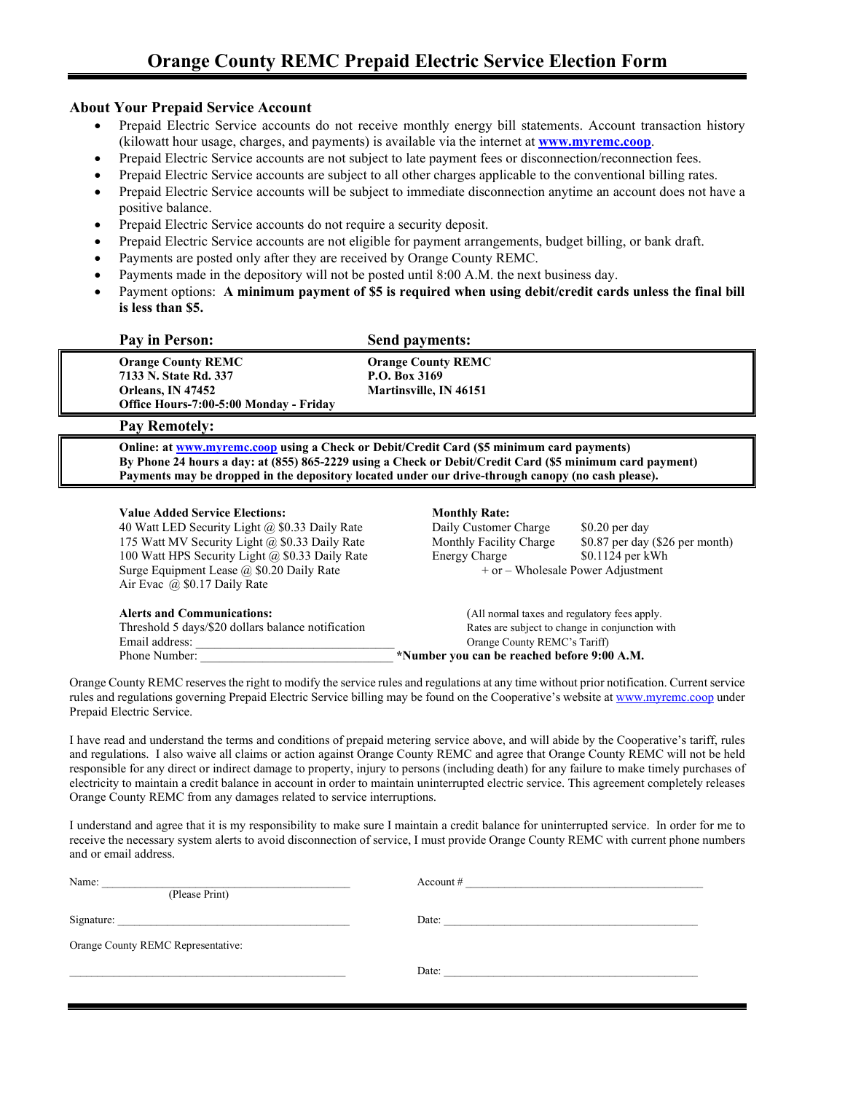#### **About Your Prepaid Service Account**

- Prepaid Electric Service accounts do not receive monthly energy bill statements. Account transaction history (kilowatt hour usage, charges, and payments) is available via the internet at **[www.myremc.coop](http://www.myremc.coop/)**.
- Prepaid Electric Service accounts are not subject to late payment fees or disconnection/reconnection fees.
- Prepaid Electric Service accounts are subject to all other charges applicable to the conventional billing rates.
- Prepaid Electric Service accounts will be subject to immediate disconnection anytime an account does not have a positive balance.
- Prepaid Electric Service accounts do not require a security deposit.
- Prepaid Electric Service accounts are not eligible for payment arrangements, budget billing, or bank draft.
- Payments are posted only after they are received by Orange County REMC.
- Payments made in the depository will not be posted until 8:00 A.M. the next business day.
- Payment options: **A minimum payment of \$5 is required when using debit/credit cards unless the final bill is less than \$5.**

| Pay in Person:                                                                                                                                                                                                                                                                                              | Send payments:                                                                                   |                                                                                                                                                                                |  |
|-------------------------------------------------------------------------------------------------------------------------------------------------------------------------------------------------------------------------------------------------------------------------------------------------------------|--------------------------------------------------------------------------------------------------|--------------------------------------------------------------------------------------------------------------------------------------------------------------------------------|--|
| <b>Orange County REMC</b><br>7133 N. State Rd. 337<br>Orleans, IN 47452<br>Office Hours-7:00-5:00 Monday - Friday                                                                                                                                                                                           | <b>Orange County REMC</b><br>P.O. Box 3169<br>Martinsville, IN 46151                             |                                                                                                                                                                                |  |
| <b>Pay Remotely:</b>                                                                                                                                                                                                                                                                                        |                                                                                                  |                                                                                                                                                                                |  |
| Online: at www.myremc.coop using a Check or Debit/Credit Card (\$5 minimum card payments)<br>By Phone 24 hours a day: at (855) 865-2229 using a Check or Debit/Credit Card (\$5 minimum card payment)<br>Payments may be dropped in the depository located under our drive-through canopy (no cash please). |                                                                                                  |                                                                                                                                                                                |  |
| <b>Value Added Service Elections:</b><br>40 Watt LED Security Light @ \$0.33 Daily Rate<br>175 Watt MV Security Light @ \$0.33 Daily Rate<br>100 Watt HPS Security Light @ \$0.33 Daily Rate<br>Surge Equipment Lease @ \$0.20 Daily Rate<br>Air Evac $(a)$ \$0.17 Daily Rate                               | <b>Monthly Rate:</b><br>Daily Customer Charge<br>Monthly Facility Charge<br><b>Energy Charge</b> | $$0.20$ per day<br>\$0.87 per day (\$26 per month)<br>\$0.1124 per kWh<br>+ or – Wholesale Power Adjustment                                                                    |  |
| <b>Alerts and Communications:</b><br>Threshold 5 days/\$20 dollars balance notification<br>Email address:<br>Phone Number:                                                                                                                                                                                  |                                                                                                  | (All normal taxes and regulatory fees apply.<br>Rates are subject to change in conjunction with<br>Orange County REMC's Tariff)<br>*Number you can be reached before 9:00 A.M. |  |

Orange County REMC reserves the right to modify the service rules and regulations at any time without prior notification. Current service rules and regulations governing Prepaid Electric Service billing may be found on the Cooperative's website a[t www.myremc.coop](http://www.myremc.coop/) under Prepaid Electric Service.

I have read and understand the terms and conditions of prepaid metering service above, and will abide by the Cooperative's tariff, rules and regulations. I also waive all claims or action against Orange County REMC and agree that Orange County REMC will not be held responsible for any direct or indirect damage to property, injury to persons (including death) for any failure to make timely purchases of electricity to maintain a credit balance in account in order to maintain uninterrupted electric service. This agreement completely releases Orange County REMC from any damages related to service interruptions.

I understand and agree that it is my responsibility to make sure I maintain a credit balance for uninterrupted service. In order for me to receive the necessary system alerts to avoid disconnection of service, I must provide Orange County REMC with current phone numbers and or email address.

| Name:                              | Account $#$ |  |  |  |
|------------------------------------|-------------|--|--|--|
| (Please Print)                     |             |  |  |  |
| Signature:                         | Date:       |  |  |  |
| Orange County REMC Representative: |             |  |  |  |
|                                    | Date:       |  |  |  |
|                                    |             |  |  |  |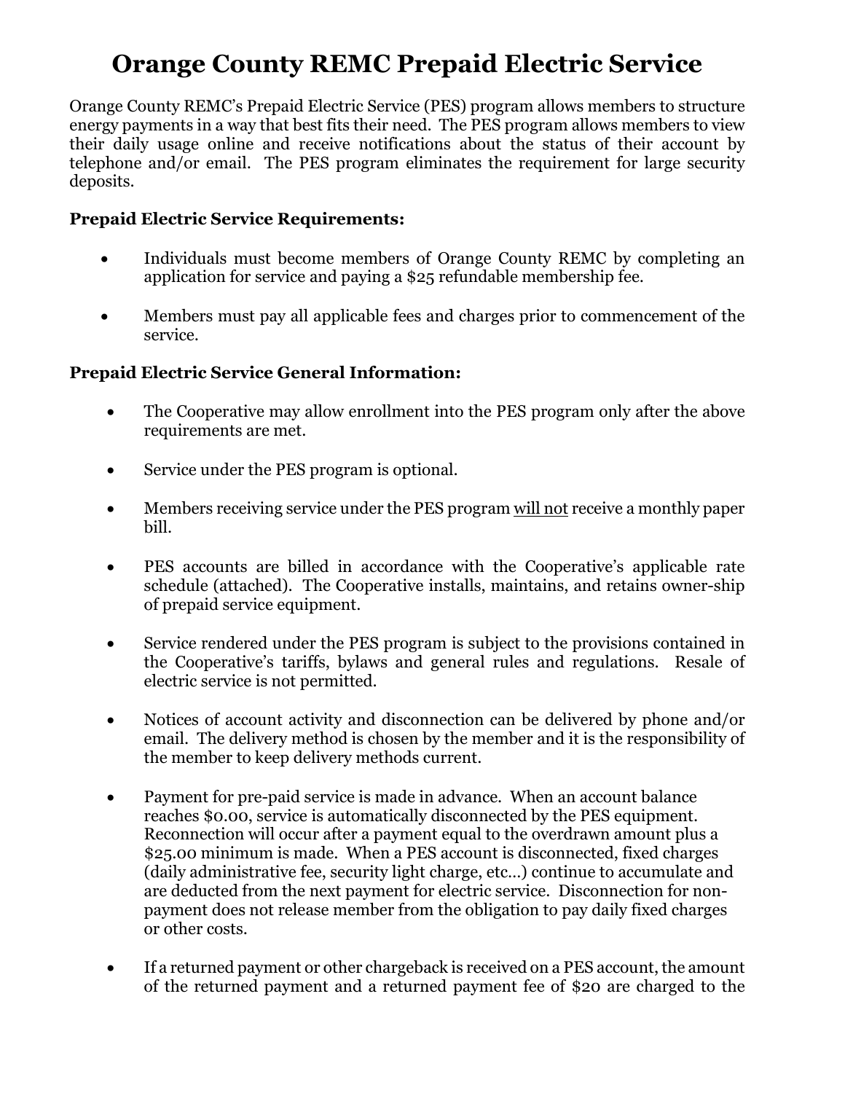# **Orange County REMC Prepaid Electric Service**

Orange County REMC's Prepaid Electric Service (PES) program allows members to structure energy payments in a way that best fits their need. The PES program allows members to view their daily usage online and receive notifications about the status of their account by telephone and/or email. The PES program eliminates the requirement for large security deposits.

# **Prepaid Electric Service Requirements:**

- Individuals must become members of Orange County REMC by completing an application for service and paying a \$25 refundable membership fee.
- Members must pay all applicable fees and charges prior to commencement of the service.

# **Prepaid Electric Service General Information:**

- The Cooperative may allow enrollment into the PES program only after the above requirements are met.
- Service under the PES program is optional.
- Members receiving service under the PES program will not receive a monthly paper bill.
- PES accounts are billed in accordance with the Cooperative's applicable rate schedule (attached). The Cooperative installs, maintains, and retains owner-ship of prepaid service equipment.
- Service rendered under the PES program is subject to the provisions contained in the Cooperative's tariffs, bylaws and general rules and regulations. Resale of electric service is not permitted.
- Notices of account activity and disconnection can be delivered by phone and/or email. The delivery method is chosen by the member and it is the responsibility of the member to keep delivery methods current.
- Payment for pre-paid service is made in advance. When an account balance reaches \$0.00, service is automatically disconnected by the PES equipment. Reconnection will occur after a payment equal to the overdrawn amount plus a \$25.00 minimum is made. When a PES account is disconnected, fixed charges (daily administrative fee, security light charge, etc…) continue to accumulate and are deducted from the next payment for electric service. Disconnection for nonpayment does not release member from the obligation to pay daily fixed charges or other costs.
- If a returned payment or other chargeback is received on a PES account, the amount of the returned payment and a returned payment fee of \$20 are charged to the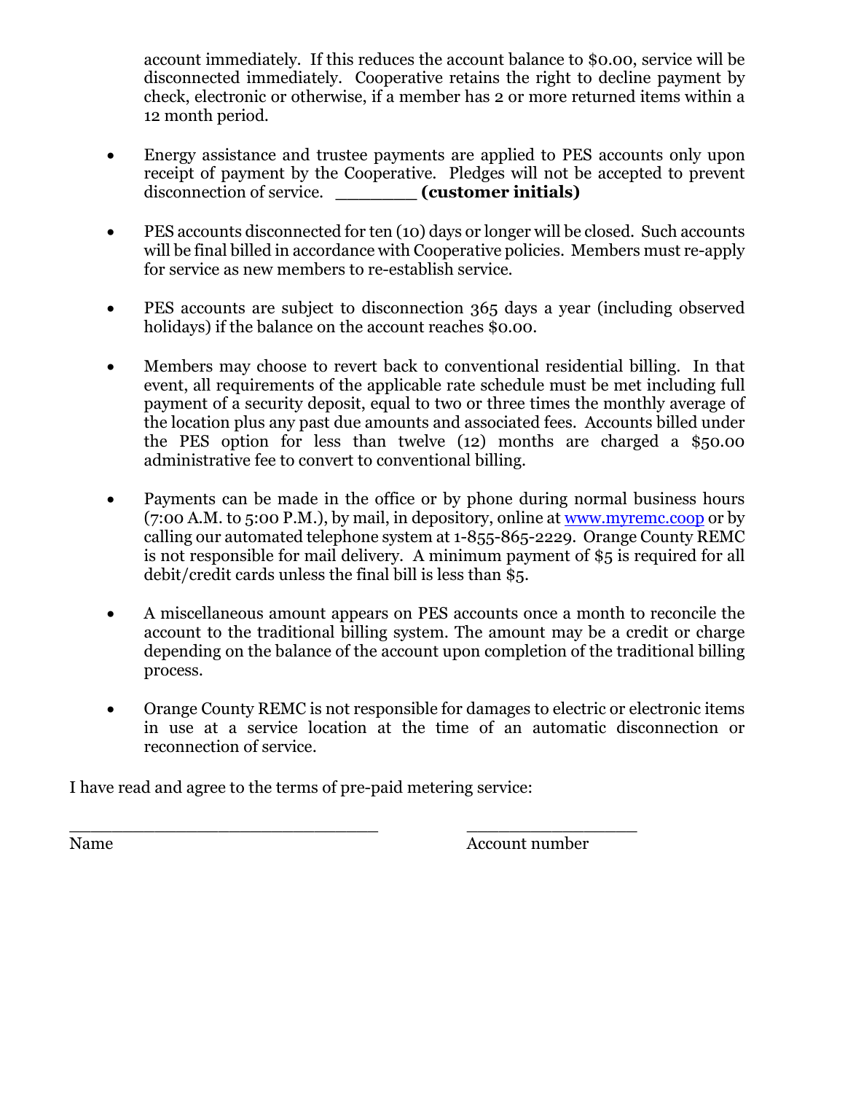account immediately. If this reduces the account balance to \$0.00, service will be disconnected immediately. Cooperative retains the right to decline payment by check, electronic or otherwise, if a member has 2 or more returned items within a 12 month period.

- Energy assistance and trustee payments are applied to PES accounts only upon receipt of payment by the Cooperative. Pledges will not be accepted to prevent disconnection of service. *(customer initials)*
- PES accounts disconnected for ten (10) days or longer will be closed. Such accounts will be final billed in accordance with Cooperative policies. Members must re-apply for service as new members to re-establish service.
- PES accounts are subject to disconnection 365 days a year (including observed holidays) if the balance on the account reaches \$0.00.
- Members may choose to revert back to conventional residential billing. In that event, all requirements of the applicable rate schedule must be met including full payment of a security deposit, equal to two or three times the monthly average of the location plus any past due amounts and associated fees. Accounts billed under the PES option for less than twelve (12) months are charged a \$50.00 administrative fee to convert to conventional billing.
- Payments can be made in the office or by phone during normal business hours (7:00 A.M. to 5:00 P.M.), by mail, in depository, online at [www.myremc.coop](http://www.myremc.coop/) or by calling our automated telephone system at 1-855-865-2229. Orange County REMC is not responsible for mail delivery. A minimum payment of \$5 is required for all debit/credit cards unless the final bill is less than \$5.
- A miscellaneous amount appears on PES accounts once a month to reconcile the account to the traditional billing system. The amount may be a credit or charge depending on the balance of the account upon completion of the traditional billing process.
- Orange County REMC is not responsible for damages to electric or electronic items in use at a service location at the time of an automatic disconnection or reconnection of service.

I have read and agree to the terms of pre-paid metering service:

\_\_\_\_\_\_\_\_\_\_\_\_\_\_\_\_\_\_\_\_\_\_\_\_\_\_\_\_\_ \_\_\_\_\_\_\_\_\_\_\_\_\_\_\_\_ Name Account number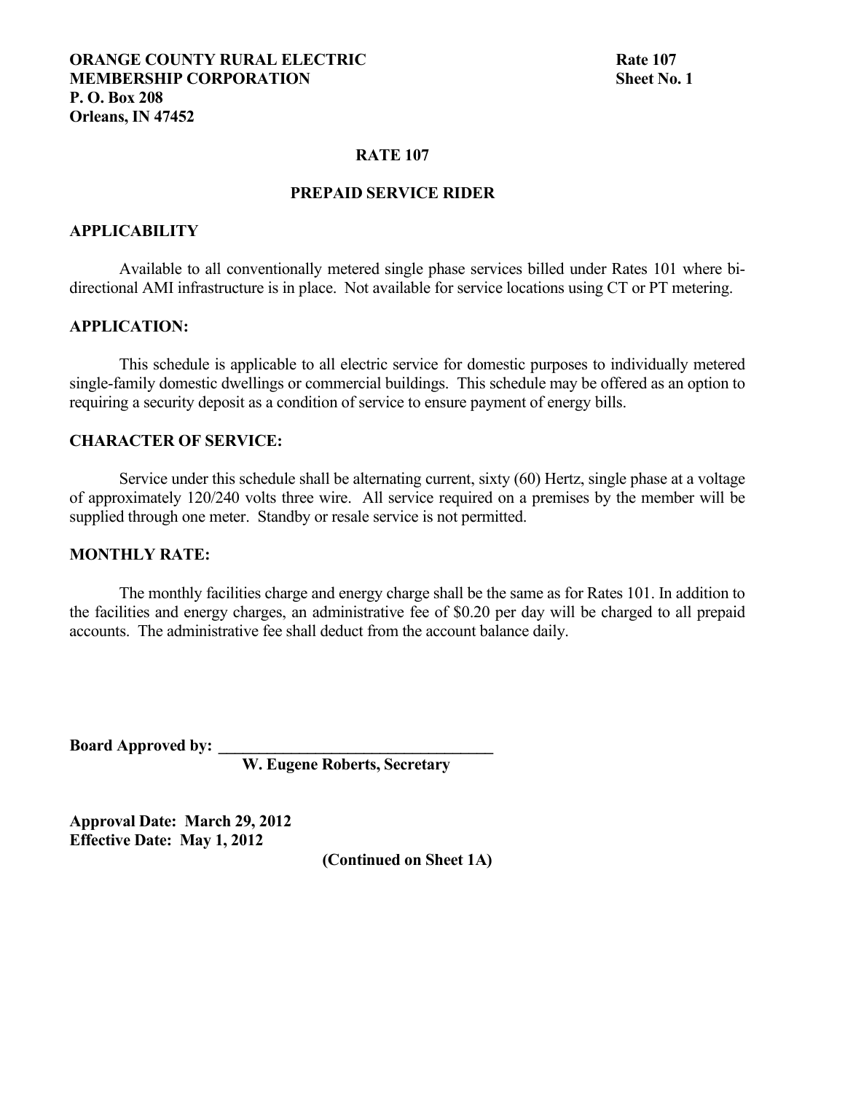#### **RATE 107**

## **PREPAID SERVICE RIDER**

#### **APPLICABILITY**

Available to all conventionally metered single phase services billed under Rates 101 where bidirectional AMI infrastructure is in place. Not available for service locations using CT or PT metering.

#### **APPLICATION:**

This schedule is applicable to all electric service for domestic purposes to individually metered single-family domestic dwellings or commercial buildings. This schedule may be offered as an option to requiring a security deposit as a condition of service to ensure payment of energy bills.

### **CHARACTER OF SERVICE:**

Service under this schedule shall be alternating current, sixty (60) Hertz, single phase at a voltage of approximately 120/240 volts three wire. All service required on a premises by the member will be supplied through one meter. Standby or resale service is not permitted.

#### **MONTHLY RATE:**

The monthly facilities charge and energy charge shall be the same as for Rates 101. In addition to the facilities and energy charges, an administrative fee of \$0.20 per day will be charged to all prepaid accounts. The administrative fee shall deduct from the account balance daily.

**Board Approved by: \_\_\_\_\_\_\_\_\_\_\_\_\_\_\_\_\_\_\_\_\_\_\_\_\_\_\_\_\_\_\_\_\_\_**

 **W. Eugene Roberts, Secretary**

**Approval Date: March 29, 2012 Effective Date: May 1, 2012**

**(Continued on Sheet 1A)**